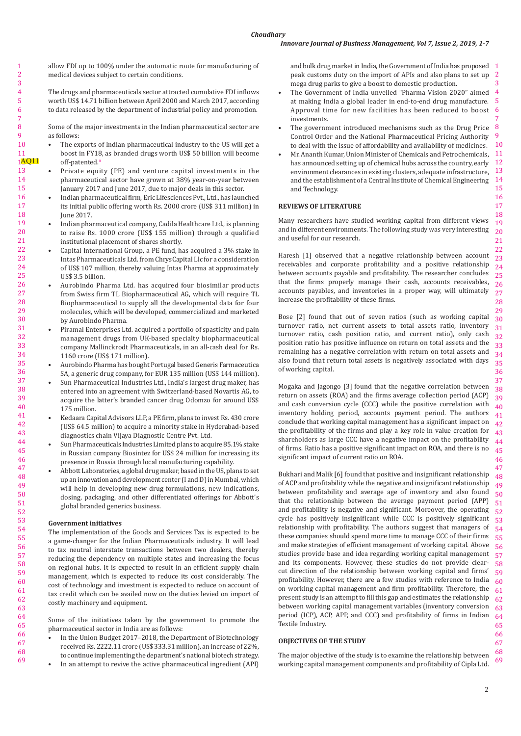allow FDI up to 100% under the automatic route for manufacturing of medical devices subject to certain conditions.

The drugs and pharmaceuticals sector attracted cumulative FDI inflows worth US\$ 14.71 billion between April 2000 and March 2017, according to data released by the department of industrial policy and promotion.

Some of the major investments in the Indian pharmaceutical sector are as follows:

- The exports of Indian pharmaceutical industry to the US will get a boost in FY18, as branded drugs worth US\$ 50 billion will become off-patented.<sup>#</sup>
- Private equity (PE) and venture capital investments in the pharmaceutical sector have grown at 38% year-on-year between January 2017 and June 2017, due to major deals in this sector.
- Indian pharmaceutical firm, Eric Lifesciences Pvt., Ltd., has launched its initial public offering worth Rs. 2000 crore (US\$ 311 million) in June 2017.
- Indian pharmaceutical company, Cadila Healthcare Ltd., is planning to raise Rs. 1000 crore (US\$ 155 million) through a qualified institutional placement of shares shortly.
- Capital International Group, a PE fund, has acquired a 3% stake in Intas Pharmaceuticals Ltd. from ChrysCapital Llc for a consideration of US\$ 107 million, thereby valuing Intas Pharma at approximately US\$ 3.5 billion.
- Aurobindo Pharma Ltd. has acquired four biosimilar products from Swiss firm TL Biopharmaceutical AG, which will require TL Biopharmaceutical to supply all the developmental data for four molecules, which will be developed, commercialized and marketed by Aurobindo Pharma.
- Piramal Enterprises Ltd. acquired a portfolio of spasticity and pain management drugs from UK-based specialty biopharmaceutical company Mallinckrodt Pharmaceuticals, in an all-cash deal for Rs. 1160 crore (US\$ 171 million).
- Aurobindo Pharma has bought Portugal based Generis Farmaceutica SA, a generic drug company, for EUR 135 million (US\$ 144 million).
- Sun Pharmaceutical Industries Ltd., India's largest drug maker, has entered into an agreement with Switzerland-based Novartis AG, to acquire the latter's branded cancer drug Odomzo for around US\$ 175 million.
- Kedaara Capital Advisors LLP, a PE firm, plans to invest Rs. 430 crore (US\$ 64.5 million) to acquire a minority stake in Hyderabad-based diagnostics chain Vijaya Diagnostic Centre Pvt. Ltd.
- Sun Pharmaceuticals Industries Limited plans to acquire 85.1% stake in Russian company Biosintez for US\$ 24 million for increasing its presence in Russia through local manufacturing capability.
- Abbott Laboratories, a global drug maker, based in the US, plans to set up an innovation and development center (I and D) in Mumbai, which will help in developing new drug formulations, new indications, dosing, packaging, and other differentiated offerings for Abbott's global branded generics business.

## **Government initiatives**

The implementation of the Goods and Services Tax is expected to be a game-changer for the Indian Pharmaceuticals industry. It will lead to tax neutral interstate transactions between two dealers, thereby reducing the dependency on multiple states and increasing the focus on regional hubs. It is expected to result in an efficient supply chain management, which is expected to reduce its cost considerably. The cost of technology and investment is expected to reduce on account of tax credit which can be availed now on the duties levied on import of costly machinery and equipment.

Some of the initiatives taken by the government to promote the pharmaceutical sector in India are as follows:

- In the Union Budget 2017-2018, the Department of Biotechnology received Rs. 2222.11 crore (US\$ 333.31 million), an increase of 22%, to continue implementing the department's national biotech strategy.
- In an attempt to revive the active pharmaceutical ingredient (API)

and bulk drug market in India, the Government of India has proposed  $\;\;\; 1$  $\overline{2}$ peak customs duty on the import of APIs and also plans to set up mega drug parks to give a boost to domestic production.

3

42 43 44

46

- 4 5 The Government of India unveiled "Pharma Vision 2020" aimed at making India a global leader in end-to-end drug manufacture. Approval time for new facilities has been reduced to boost investments.
- The government introduced mechanisms such as the Drug Price Control Order and the National Pharmaceutical Pricing Authority to deal with the issue of affordability and availability of medicines.
- Mr. Ananth Kumar, Union Minister of Chemicals and Petrochemicals, 11 12 13 14 15 16 has announced setting up of chemical hubs across the country, early environment clearances in existing clusters, adequate infrastructure, and the establishment of a Central Institute of Chemical Engineering and Technology.

# **REVIEWS OF LITERATURE**

Many researchers have studied working capital from different views and in different environments. The following study was very interesting and useful for our research.

Haresh [1] observed that a negative relationship between account receivables and corporate profitability and a positive relationship between accounts payable and profitability. The researcher concludes that the firms properly manage their cash, accounts receivables, accounts payables, and inventories in a proper way, will ultimately increase the profitability of these firms.

32 Bose [2] found that out of seven ratios (such as working capital turnover ratio, net current assets to total assets ratio, inventory turnover ratio, cash position ratio, and current ratio), only cash position ratio has positive influence on return on total assets and the remaining has a negative correlation with return on total assets and also found that return total assets is negatively associated with days of working capital.

41 45 Mogaka and Jagongo [3] found that the negative correlation between return on assets (ROA) and the firms average collection period (ACP) and cash conversion cycle (CCC) while the positive correlation with inventory holding period, accounts payment period. The authors conclude that working capital management has a significant impact on the profitability of the firms and play a key role in value creation for shareholders as large CCC have a negative impact on the profitability of firms. Ratio has a positive significant impact on ROA, and there is no significant impact of current ratio on ROA.

47 48 49 50 51 52 53 54 55 56 57 58 59 60 61 62 63 64 65 Bukhari and Malik [6] found that positive and insignificant relationship of ACP and profitability while the negative and insignificant relationship between profitability and average age of inventory and also found that the relationship between the average payment period (APP) and profitability is negative and significant. Moreover, the operating cycle has positively insignificant while CCC is positively significant relationship with profitability. The authors suggest that managers of these companies should spend more time to manage CCC of their firms and make strategies of efficient management of working capital. Above studies provide base and idea regarding working capital management and its components. However, these studies do not provide clearcut direction of the relationship between working capital and firms' profitability. However, there are a few studies with reference to India on working capital management and firm profitability. Therefore, the present study is an attempt to fill this gap and estimates the relationship between working capital management variables (inventory conversion period (ICP), ACP, APP, and CCC) and profitability of firms in Indian Textile Industry.

## **OBJECTIVES OF THE STUDY**

68 69 The major objective of the study is to examine the relationship between working capital management components and profitability of Cipla Ltd.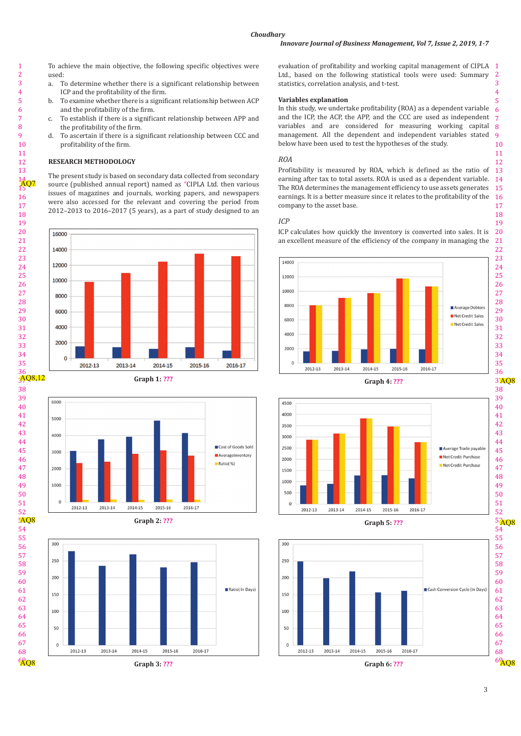To achieve the main objective, the following specific objectives were To determine whether there is a significant relationship between ICP and the profitability of the firm. b. To examine whether there is a significant relationship between ACP and the profitability of the firm. c. To establish if there is a significant relationship between APP and the profitability of the firm. d. To ascertain if there is a significant relationship between CCC and profitability of the firm. **RESEARCH METHODOLOGY** The present study is based on secondary data collected from secondary source (published annual report) named as "CIPLA Ltd. then various issues of magazines and journals, working papers, and newspapers were also accessed for the relevant and covering the period from 2012–2013 to 2016–2017 (5 years), as a part of study designed to an

used:<br>a. T

 

 

evaluation of profitability and working capital management of CIPLA  $\;$  1 Ltd., based on the following statistical tools were used: Summary statistics, correlation analysis, and t-test.

### **Variables explanation**

In this study, we undertake profitability (ROA) as a dependent variable and the ICP, the ACP, the APP, and the CCC are used as independent variables and are considered for measuring working capital management. All the dependent and independent variables stated below have been used to test the hypotheses of the study.

## *ROA*

earning after tax to total assets. ROA is used as a dependent variable. 14 The ROA determines the management efficiency to use assets generates  $\,$  15  $\,$ Profitability is measured by ROA, which is defined as the ratio of earnings. It is a better measure since it relates to the profitability of the company to the asset base.

# *ICP*

ICP calculates how quickly the inventory is converted into sales. It is 20 an excellent measure of the efficiency of the company in managing the









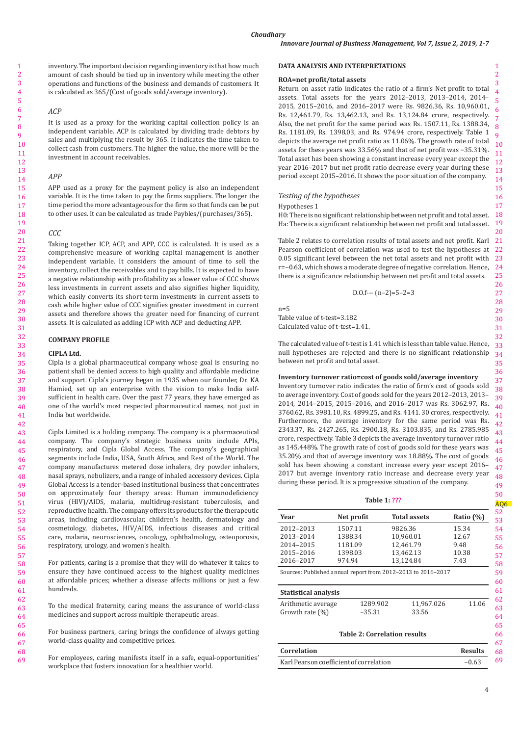inventory. The important decision regarding inventory is that how much amount of cash should be tied up in inventory while meeting the other operations and functions of the business and demands of customers. It is calculated as 365/(Cost of goods sold/average inventory).

## *ACP*

It is used as a proxy for the working capital collection policy is an independent variable. ACP is calculated by dividing trade debtors by sales and multiplying the result by 365. It indicates the time taken to collect cash from customers. The higher the value, the more will be the investment in account receivables.

#### *APP*

APP used as a proxy for the payment policy is also an independent variable. It is the time taken to pay the firms suppliers. The longer the time period the more advantageous for the firm so that funds can be put to other uses. It can be calculated as trade Paybles/(purchases/365).

## *CCC*

Taking together ICP, ACP, and APP, CCC is calculated. It is used as a comprehensive measure of working capital management is another independent variable. It considers the amount of time to sell the inventory, collect the receivables and to pay bills. It is expected to have a negative relationship with profitability as a lower value of CCC shows less investments in current assets and also signifies higher liquidity, which easily converts its short-term investments in current assets to cash while higher value of CCC signifies greater investment in current assets and therefore shows the greater need for financing of current assets. It is calculated as adding ICP with ACP and deducting APP.

# **COMPANY PROFILE**

#### **CIPLA Ltd.**

Cipla is a global pharmaceutical company whose goal is ensuring no patient shall be denied access to high quality and affordable medicine and support. Cipla's journey began in 1935 when our founder, Dr. KA Hamied, set up an enterprise with the vision to make India selfsufficient in health care. Over the past 77 years, they have emerged as one of the world's most respected pharmaceutical names, not just in India but worldwide.

Cipla Limited is a holding company. The company is a pharmaceutical company. The company's strategic business units include APIs, respiratory, and Cipla Global Access. The company's geographical segments include India, USA, South Africa, and Rest of the World. The company manufactures metered dose inhalers, dry powder inhalers, nasal sprays, nebulizers, and a range of inhaled accessory devices. Cipla Global Access is a tender-based institutional business that concentrates on approximately four therapy areas: Human immunodeficiency virus (HIV)/AIDS, malaria, multidrug-resistant tuberculosis, and reproductive health. The company offers its products for the therapeutic areas, including cardiovascular, children's health, dermatology and cosmetology, diabetes, HIV/AIDS, infectious diseases and critical care, malaria, neurosciences, oncology, ophthalmology, osteoporosis, respiratory, urology, and women's health.

For patients, caring is a promise that they will do whatever it takes to ensure they have continued access to the highest quality medicines at affordable prices; whether a disease affects millions or just a few hundreds.

To the medical fraternity, caring means the assurance of world-class medicines and support across multiple therapeutic areas.

For business partners, caring brings the confidence of always getting world-class quality and competitive prices.

For employees, caring manifests itself in a safe, equal-opportunities' workplace that fosters innovation for a healthier world.

#### **DATA ANALYSIS AND INTERPRETATIONS**

#### **ROA=net profit/total assets**

Return on asset ratio indicates the ratio of a firm's Net profit to total assets. Total assets for the years 2012–2013, 2013–2014, 2014– 2015, 2015–2016, and 2016–2017 were Rs. 9826.36, Rs. 10,960.01, Rs. 12,461.79, Rs. 13,462.13, and Rs. 13,124.84 crore, respectively. Also, the net profit for the same period was Rs. 1507.11, Rs. 1388.34, Rs. 1181.09, Rs. 1398.03, and Rs. 974.94 crore, respectively. Table 1 depicts the average net profit ratio as 11.06%. The growth rate of total assets for these years was 33.56% and that of net profit was −35.31%. Total asset has been showing a constant increase every year except the year 2016–2017 but net profit ratio decrease every year during these period except 2015–2016. It shows the poor situation of the company.

#### *Testing of the hypotheses*

#### Hypotheses 1

H0: There is no significant relationship between net profit and total asset. Ha: There is a significant relationship between net profit and total asset.

Table 2 relates to correlation results of total assets and net profit. Karl Pearson coefficient of correlation was used to test the hypotheses at 0.05 significant level between the net total assets and net profit with r=−0.63, which shows a moderate degree of negative correlation.Hence, there is a significance relationship between net profit and total assets.

D.0.f--- 
$$
(n-2)=5-2=3
$$

 $n=5$ Table value of t-test=3.182 Calculated value of t-test=1.41.

The calculated value of t-test is 1.41 which is less than table value. Hence, null hypotheses are rejected and there is no significant relationship between net profit and total asset.

# **Inventory turnover ratio=cost of goods sold/average inventory**

Inventory turnover ratio indicates the ratio of firm's cost of goods sold to average inventory. Cost of goods sold for the years 2012–2013, 2013– 2014, 2014–2015, 2015–2016, and 2016–2017 was Rs. 3062.97, Rs. 3760.62, Rs. 3981.10, Rs. 4899.25, and Rs. 4141. 30 crores, respectively. Furthermore, the average inventory for the same period was Rs. 2343.37, Rs. 2427.265, Rs. 2900.18, Rs. 3103.835, and Rs. 2785.985 crore, respectively. Table 3 depicts the average inventory turnover ratio as 145.448%. The growth rate of cost of goods sold for these years was 35.20% and that of average inventory was 18.88%. The cost of goods sold has been showing a constant increase every year except 2016– 2017 but average inventory ratio increase and decrease every year during these period. It is a progressive situation of the company.

#### **Table 1: ???**

| Year                                                                                        | Net profit                                         |                      | <b>Total assets</b>                                         |                     |                                         | Ratio $(\%)$ |
|---------------------------------------------------------------------------------------------|----------------------------------------------------|----------------------|-------------------------------------------------------------|---------------------|-----------------------------------------|--------------|
| 2012-2013<br>2013-2014<br>2014-2015<br>2015-2016<br>2016-2017                               | 1507.11<br>1388.34<br>1181.09<br>1398.03<br>974.94 |                      | 9826.36<br>10.960.01<br>12.461.79<br>13.462.13<br>13.124.84 |                     | 15.34<br>12.67<br>9.48<br>10.38<br>7.43 |              |
| Sources: Published annual report from 2012-2013 to 2016-2017<br><b>Statistical analysis</b> |                                                    |                      |                                                             |                     |                                         |              |
| Arithmetic average<br>Growth rate $(\%)$                                                    |                                                    | 1289.902<br>$-35.31$ |                                                             | 11.967.026<br>33.56 |                                         | 11.06        |
|                                                                                             |                                                    |                      |                                                             |                     |                                         |              |

# **Table 2: Correlation results**

| Correlation                             | <b>Results</b> | 68 |
|-----------------------------------------|----------------|----|
| Karl Pearson coefficient of correlation | $-0.63$        |    |

69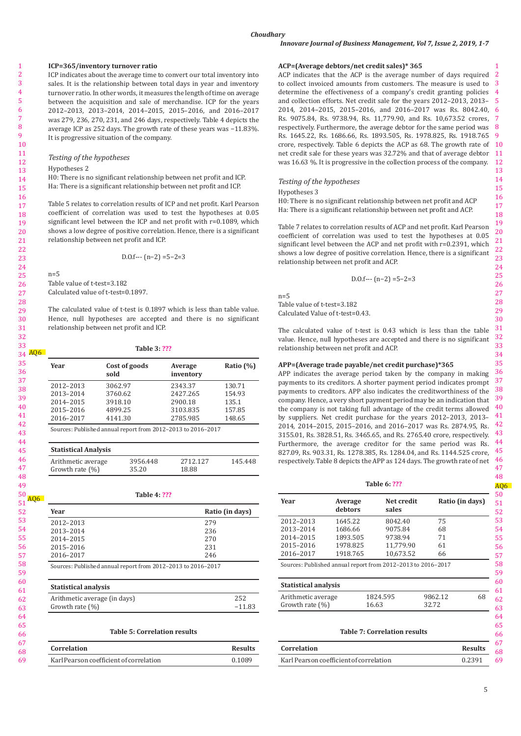# *Choudhary*

# **ICP=365/inventory turnover ratio**

ICP indicates about the average time to convert our total inventory into sales. It is the relationship between total days in year and inventory turnover ratio. In other words, it measures the length of time on average between the acquisition and sale of merchandise. ICP for the years 2012–2013, 2013–2014, 2014–2015, 2015–2016, and 2016–2017 was 279, 236, 270, 231, and 246 days, respectively. Table 4 depicts the average ICP as 252 days. The growth rate of these years was −11.83%. It is progressive situation of the company.

## *Testing of the hypotheses*

#### Hypotheses 2

H0: There is no significant relationship between net profit and ICP. Ha: There is a significant relationship between net profit and ICP.

Table 5 relates to correlation results of ICP and net profit. Karl Pearson coefficient of correlation was used to test the hypotheses at 0.05 significant level between the ICP and net profit with r=0.1089, which shows a low degree of positive correlation. Hence, there is a significant relationship between net profit and ICP.

D.0.f--- 
$$
(n-2) = 5-2=3
$$

 $n=5$ Table value of t-test=3.182 Calculated value of t-test=0.1897.

The calculated value of t-test is 0.1897 which is less than table value. Hence, null hypotheses are accepted and there is no significant relationship between net profit and ICP.

# **Table 3: ???**

| 34 AQ6 |                             |         |                     |                                                              |                 |  |  |
|--------|-----------------------------|---------|---------------------|--------------------------------------------------------------|-----------------|--|--|
|        | Year                        | sold    | Cost of goods       | Average<br>inventory                                         | Ratio $(\%)$    |  |  |
|        | 2012-2013                   | 3062.97 |                     | 2343.37                                                      | 130.71          |  |  |
|        | 2013-2014                   | 3760.62 |                     | 2427.265                                                     | 154.93          |  |  |
|        | 2014-2015                   | 3918.10 |                     | 2900.18                                                      | 135.1           |  |  |
|        | 2015-2016                   | 4899.25 |                     | 3103.835                                                     | 157.85          |  |  |
|        | 2016-2017                   | 4141.30 |                     | 2785.985                                                     | 148.65          |  |  |
|        |                             |         |                     | Sources: Published annual report from 2012-2013 to 2016-2017 |                 |  |  |
|        |                             |         |                     |                                                              |                 |  |  |
|        | <b>Statistical Analysis</b> |         |                     |                                                              |                 |  |  |
|        | Arithmetic average          |         | 3956.448            | 2712.127                                                     | 145.448         |  |  |
|        | Growth rate $(\%)$          |         | 35.20               | 18.88                                                        |                 |  |  |
|        |                             |         |                     |                                                              |                 |  |  |
|        |                             |         | <b>Table 4: ???</b> |                                                              |                 |  |  |
| AQ6    |                             |         |                     |                                                              |                 |  |  |
|        | Year                        |         |                     |                                                              | Ratio (in days) |  |  |
|        | 2012-2013                   |         |                     | 279                                                          |                 |  |  |
|        | 2013-2014                   |         |                     | 236                                                          |                 |  |  |
|        | 2014-2015                   |         |                     | 270                                                          |                 |  |  |
|        | 2015-2016                   |         |                     | 231                                                          |                 |  |  |
|        | 2016-2017                   |         |                     | 246                                                          |                 |  |  |
|        |                             |         |                     |                                                              |                 |  |  |

Sources: Published annual report from 2012–2013 to 2016–2017

| <b>Statistical analysis</b>  |          |
|------------------------------|----------|
| Arithmetic average (in days) | 252      |
| Growth rate $(\%)$           | $-11.83$ |

#### **Table 5: Correlation results**

| <b>Correlation</b>                      | <b>Results</b> |
|-----------------------------------------|----------------|
| Karl Pearson coefficient of correlation | 0.1089         |

# **ACP=(Average debtors/net credit sales)\* 365**

ACP indicates that the ACP is the average number of days required 2 3 4 determine the effectiveness of a company's credit granting policies 5 and collection efforts. Net credit sale for the years 2012–2013, 2013– 6 2014, 2014–2015, 2015–2016, and 2016–2017 was Rs. 8042.40, 7 8 9 Rs. 1645.22, Rs. 1686.66, Rs. 1893.505, Rs. 1978.825, Rs. 1918.765 crore, respectively. Table 6 depicts the ACP as  $68$ . The growth rate of  $10$ net credit sale for these years was 32.72% and that of average debtor  $\,$  11  $\,$ 12 to collect invoiced amounts from customers. The measure is used to Rs. 9075.84, Rs. 9738.94, Rs. 11,779.90, and Rs. 10,673.52 crores, respectively. Furthermore, the average debtor for the same period was was 16.63 %. It is progressive in the collection process of the company.

# *Testing of the hypotheses*

## Hypotheses 3

H0: There is no significant relationship between net profit and ACP Ha: There is a significant relationship between net profit and ACP.

Table 7 relates to correlation results of ACP and net profit. Karl Pearson coefficient of correlation was used to test the hypotheses at 0.05 significant level between the ACP and net profit with r=0.2391, which shows a low degree of positive correlation. Hence, there is a significant relationship between net profit and ACP.

D.0.f--- 
$$
(n-2) = 5-2=3
$$

 $n=5$ Table value of t-test=3.182 Calculated Value of t-test=0.43.

The calculated value of t-test is 0.43 which is less than the table value. Hence, null hypotheses are accepted and there is no significant relationship between net profit and ACP.

# **APP=(Average trade payable/net credit purchase)\*365**

36 37 38 39 the company is not taking full advantage of the credit terms allowed  $\frac{40}{14}$ 41 42 43 44 APP indicates the average period taken by the company in making payments to its creditors. A shorter payment period indicates prompt payments to creditors. APP also indicates the creditworthiness of the company. Hence, a very short payment period may be an indication that by suppliers. Net credit purchase for the years 2012–2013, 2013– 2014, 2014–2015, 2015–2016, and 2016–2017 was Rs. 2874.95, Rs. 3155.01, Rs. 3828.51, Rs. 3465.65, and Rs. 2765.40 crore, respectively. Furthermore, the average creditor for the same period was Rs. 827.09, Rs. 903.31, Rs. 1278.385, Rs. 1284.04, and Rs. 1144.525 crore, respectively. Table 8 depicts the APP as 124 days. The growth rate of net

1

|  | ۵۰ ما ۱۵۰ |  |
|--|-----------|--|

| Table 6: ???                            |                    |                                     |         |                 |
|-----------------------------------------|--------------------|-------------------------------------|---------|-----------------|
| Year                                    | Average<br>debtors | Net credit<br>sales                 |         | Ratio (in days) |
| 2012-2013                               | 1645.22            | 8042.40                             | 75      |                 |
| 2013-2014                               | 1686.66            | 9075.84                             | 68      |                 |
| 2014-2015                               | 1893.505           | 9738.94                             | 71      |                 |
| 2015-2016                               | 1978.825           | 11,779.90                           | 61      |                 |
| 2016-2017                               | 1918.765           | 10.673.52                           | 66      |                 |
| <b>Statistical analysis</b>             |                    |                                     |         |                 |
| Arithmetic average                      |                    | 1824.595                            | 9862.12 | 68              |
| Growth rate $(\%)$                      |                    | 16.63                               | 32.72   |                 |
|                                         |                    | <b>Table 7: Correlation results</b> |         |                 |
| Correlation                             |                    |                                     |         | <b>Results</b>  |
| Karl Pearson coefficient of correlation |                    |                                     |         | 0.2391          |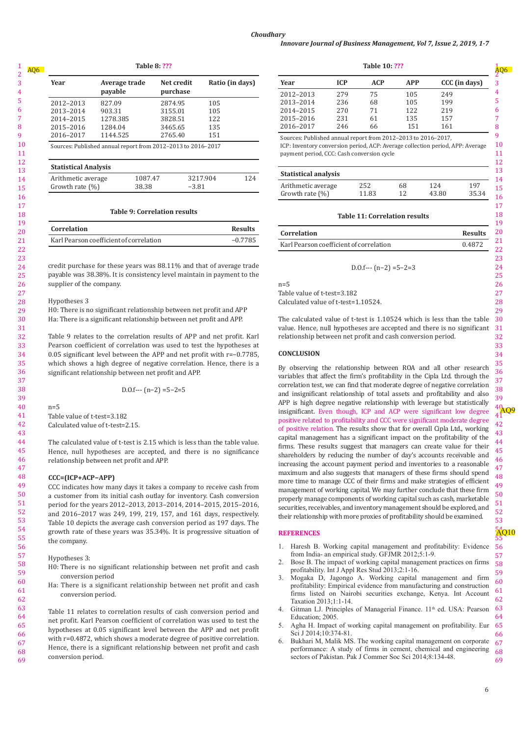| 140e o: ???                 |                          |                                                              |                 |  |  |
|-----------------------------|--------------------------|--------------------------------------------------------------|-----------------|--|--|
| Year                        | Average trade<br>payable | Net credit<br>purchase                                       | Ratio (in days) |  |  |
| 2012-2013                   | 827.09                   | 2874.95                                                      | 105             |  |  |
| 2013-2014                   | 903.31                   | 3155.01                                                      | 105             |  |  |
| 2014-2015                   | 1278.385                 | 3828.51                                                      | 122             |  |  |
| 2015-2016                   | 1284.04                  | 3465.65                                                      | 135             |  |  |
| 2016-2017                   | 1144.525                 | 2765.40                                                      | 151             |  |  |
| <b>Statistical Analysis</b> |                          | Sources: Published annual report from 2012-2013 to 2016-2017 |                 |  |  |
| Arithmetic average          |                          | 1087.47                                                      | 3217.904<br>124 |  |  |
| Growth rate $(\%)$          | 38.38                    | $-3.81$                                                      |                 |  |  |

#### **Table 9: Correlation results**

| Correlation                             | <b>Results</b> |
|-----------------------------------------|----------------|
| Karl Pearson coefficient of correlation | $-0.7785$      |

credit purchase for these years was 88.11% and that of average trade payable was 38.38%. It is consistency level maintain in payment to the supplier of the company.

### Hypotheses 3

H0: There is no significant relationship between net profit and APP Ha: There is a significant relationship between net profit and APP.

Table 9 relates to the correlation results of APP and net profit. Karl Pearson coefficient of correlation was used to test the hypotheses at 0.05 significant level between the APP and net profit with r=−0.7785, which shows a high degree of negative correlation. Hence, there is a significant relationship between net profit and APP.

D.0.f--- 
$$
(n-2) = 5-2=5
$$

 $n=5$ Table value of t-test=3.182 Calculated value of t-test=2.15.

The calculated value of t-test is 2.15 which is less than the table value. Hence, null hypotheses are accepted, and there is no significance relationship between net profit and APP.

### **CCC=(ICP+ACP−APP)**

CCC indicates how many days it takes a company to receive cash from a customer from its initial cash outlay for inventory. Cash conversion period for the years 2012–2013, 2013–2014, 2014–2015, 2015–2016, and 2016–2017 was 249, 199, 219, 157, and 161 days, respectively. Table 10 depicts the average cash conversion period as 197 days. The growth rate of these years was 35.34%. It is progressive situation of the company.

Hypotheses 3:

- H0: There is no significant relationship between net profit and cash conversion period
- Ha: There is a significant relationship between net profit and cash conversion period.

Table 11 relates to correlation results of cash conversion period and net profit. Karl Pearson coefficient of correlation was used to test the hypotheses at 0.05 significant level between the APP and net profit with r=0.4872, which shows a moderate degree of positive correlation. Hence, there is a significant relationship between net profit and cash conversion period.

| Table 8: ??? |            |                 | Table 10: ??? |            |            |            |               |   |
|--------------|------------|-----------------|---------------|------------|------------|------------|---------------|---|
| ade          | Net credit | Ratio (in days) | Year          | <b>ICP</b> | <b>ACP</b> | <b>APP</b> | CCC (in days) |   |
|              | purchase   |                 | 2012-2013     | 279        | 75         | 105        | 249           |   |
|              | 2874.95    | 105             | 2013-2014     | 236        | 68         | 105        | 199           |   |
|              | 3155.01    | 105             | 2014-2015     | 270        | 71         | 122        | 219           |   |
|              | 3828.51    | 122             | 2015-2016     | 231        | 61         | 135        | 157           |   |
|              | 3465.65    | 135             | 2016-2017     | 246        | 66         | 151        | 161           | 8 |

Sources: Published annual report from 2012–2013 to 2016–2017, ICP: Inventory conversion period, ACP: Average collection period, APP: Average payment period, CCC: Cash conversion cycle

| <b>Statistical analysis</b> |       |    |       |       |
|-----------------------------|-------|----|-------|-------|
| Arithmetic average          | 252   | 68 | 124   | 197   |
| Growth rate $(\%)$          | 11.83 | 12 | 43.80 | 35.34 |

# **Table 11: Correlation results**

| Correlation                             | <b>Results</b> |
|-----------------------------------------|----------------|
| Karl Pearson coefficient of correlation | 0.4872         |

D.O.f---  $(n-2) = 5-2=3$ 

Table value of t-test=3.182

Calculated value of t-test=1.10524.

The calculated value of t-test is 1.10524 which is less than the table value. Hence, null hypotheses are accepted and there is no significant relationship between net profit and cash conversion period.

## **CONCLUSION**

 $n=5$ 

By observing the relationship between ROA and all other research variables that affect the firm's profitability in the Cipla Ltd. through the correlation test, we can find that moderate degree of negative correlation and insignificant relationship of total assets and profitability and also APP is high degree negative relationship with leverage but statistically insignificant. Even though, ICP and ACP were significant low degree positive related to profitability and CCC were significant moderate degree of positive relation. The results show that for overall Cipla Ltd., working capital management has a significant impact on the profitability of the firms. These results suggest that managers can create value for their shareholders by reducing the number of day's accounts receivable and increasing the account payment period and inventories to a reasonable maximum and also suggests that managers of these firms should spend more time to manage CCC of their firms and make strategies of efficient management of working capital. We may further conclude that these firm properly manage components of working capital such as cash, marketable securities, receivables, and inventory management should be explored, and their relationship with more proxies of profitability should be examined.

#### **REFERENCES**

- 1. Haresh B. Working capital management and profitability: Evidence from India- an empirical study. GFJMR 2012;5:1-9.
- Bose B. The impact of working capital management practices on firms profitability. Int J Appl Res Stud 2013;2:1-16.
- 3. Mogaka D, Jagongo A. Working capital management and firm profitability: Empirical evidence from manufacturing and construction firms listed on Nairobi securities exchange, Kenya. Int Account Taxation 2013;1:1-14.
- 4. Gitman LJ. Principles of Managerial Finance. 11<sup>th</sup> ed. USA: Pearson Education; 2005.
- Agha H. Impact of working capital management on profitability. Eur Sci J 2014;10:374-81.
- 67 68 69 6. Bukhari M, Malik MS. The working capital management on corporate performance: A study of firms in cement, chemical and engineering sectors of Pakistan. Pak J Commer Soc Sci 2014;8:134-48.

AQ6